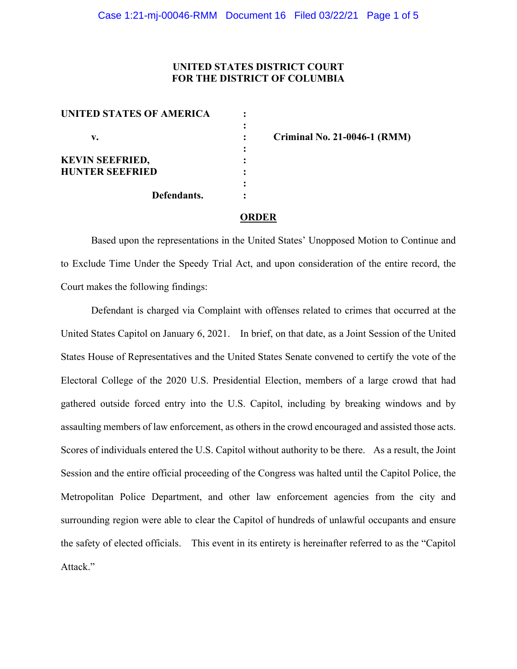# **UNITED STATES DISTRICT COURT FOR THE DISTRICT OF COLUMBIA**

| <b>UNITED STATES OF AMERICA</b> |             |  |
|---------------------------------|-------------|--|
| v.                              |             |  |
| <b>KEVIN SEEFRIED,</b>          |             |  |
| <b>HUNTER SEEFRIED</b>          |             |  |
|                                 | Defendants. |  |

**v. : Criminal No. 21-0046-1 (RMM)**

#### **ORDER**

Based upon the representations in the United States' Unopposed Motion to Continue and to Exclude Time Under the Speedy Trial Act, and upon consideration of the entire record, the Court makes the following findings:

Defendant is charged via Complaint with offenses related to crimes that occurred at the United States Capitol on January 6, 2021. In brief, on that date, as a Joint Session of the United States House of Representatives and the United States Senate convened to certify the vote of the Electoral College of the 2020 U.S. Presidential Election, members of a large crowd that had gathered outside forced entry into the U.S. Capitol, including by breaking windows and by assaulting members of law enforcement, as others in the crowd encouraged and assisted those acts. Scores of individuals entered the U.S. Capitol without authority to be there. As a result, the Joint Session and the entire official proceeding of the Congress was halted until the Capitol Police, the Metropolitan Police Department, and other law enforcement agencies from the city and surrounding region were able to clear the Capitol of hundreds of unlawful occupants and ensure the safety of elected officials. This event in its entirety is hereinafter referred to as the "Capitol Attack."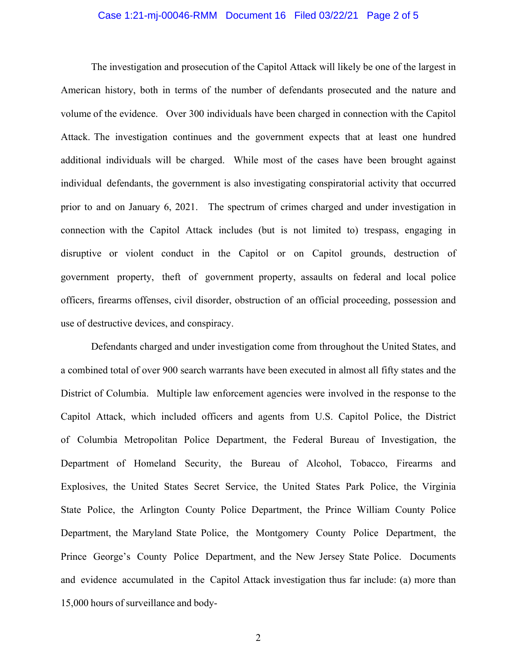### Case 1:21-mj-00046-RMM Document 16 Filed 03/22/21 Page 2 of 5

The investigation and prosecution of the Capitol Attack will likely be one of the largest in American history, both in terms of the number of defendants prosecuted and the nature and volume of the evidence. Over 300 individuals have been charged in connection with the Capitol Attack. The investigation continues and the government expects that at least one hundred additional individuals will be charged. While most of the cases have been brought against individual defendants, the government is also investigating conspiratorial activity that occurred prior to and on January 6, 2021. The spectrum of crimes charged and under investigation in connection with the Capitol Attack includes (but is not limited to) trespass, engaging in disruptive or violent conduct in the Capitol or on Capitol grounds, destruction of government property, theft of government property, assaults on federal and local police officers, firearms offenses, civil disorder, obstruction of an official proceeding, possession and use of destructive devices, and conspiracy.

Defendants charged and under investigation come from throughout the United States, and a combined total of over 900 search warrants have been executed in almost all fifty states and the District of Columbia. Multiple law enforcement agencies were involved in the response to the Capitol Attack, which included officers and agents from U.S. Capitol Police, the District of Columbia Metropolitan Police Department, the Federal Bureau of Investigation, the Department of Homeland Security, the Bureau of Alcohol, Tobacco, Firearms and Explosives, the United States Secret Service, the United States Park Police, the Virginia State Police, the Arlington County Police Department, the Prince William County Police Department, the Maryland State Police, the Montgomery County Police Department, the Prince George's County Police Department, and the New Jersey State Police. Documents and evidence accumulated in the Capitol Attack investigation thus far include: (a) more than 15,000 hours of surveillance and body-

2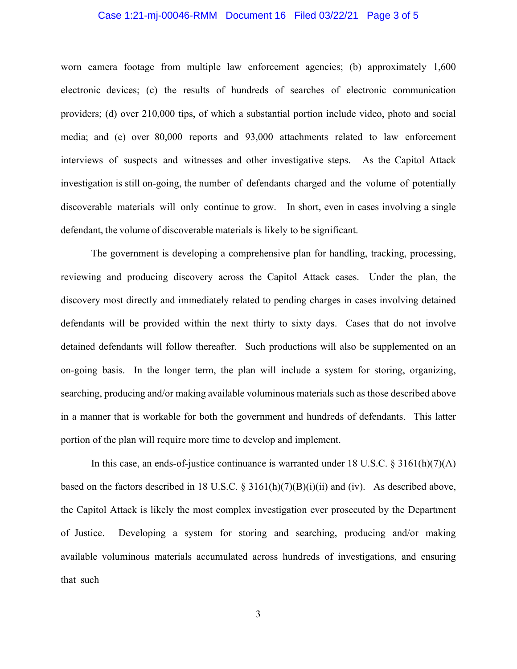# Case 1:21-mj-00046-RMM Document 16 Filed 03/22/21 Page 3 of 5

worn camera footage from multiple law enforcement agencies; (b) approximately 1,600 electronic devices; (c) the results of hundreds of searches of electronic communication providers; (d) over 210,000 tips, of which a substantial portion include video, photo and social media; and (e) over 80,000 reports and 93,000 attachments related to law enforcement interviews of suspects and witnesses and other investigative steps. As the Capitol Attack investigation is still on-going, the number of defendants charged and the volume of potentially discoverable materials will only continue to grow. In short, even in cases involving a single defendant, the volume of discoverable materials is likely to be significant.

The government is developing a comprehensive plan for handling, tracking, processing, reviewing and producing discovery across the Capitol Attack cases. Under the plan, the discovery most directly and immediately related to pending charges in cases involving detained defendants will be provided within the next thirty to sixty days. Cases that do not involve detained defendants will follow thereafter. Such productions will also be supplemented on an on-going basis. In the longer term, the plan will include a system for storing, organizing, searching, producing and/or making available voluminous materials such as those described above in a manner that is workable for both the government and hundreds of defendants. This latter portion of the plan will require more time to develop and implement.

In this case, an ends-of-justice continuance is warranted under 18 U.S.C. § 3161(h)(7)(A) based on the factors described in 18 U.S.C.  $\S$  3161(h)(7)(B)(i)(ii) and (iv). As described above, the Capitol Attack is likely the most complex investigation ever prosecuted by the Department of Justice. Developing a system for storing and searching, producing and/or making available voluminous materials accumulated across hundreds of investigations, and ensuring that such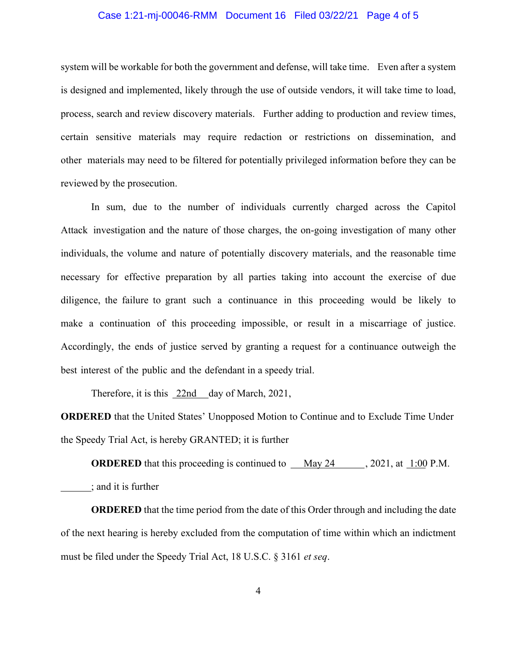# Case 1:21-mj-00046-RMM Document 16 Filed 03/22/21 Page 4 of 5

system will be workable for both the government and defense, will take time. Even after a system is designed and implemented, likely through the use of outside vendors, it will take time to load, process, search and review discovery materials. Further adding to production and review times, certain sensitive materials may require redaction or restrictions on dissemination, and other materials may need to be filtered for potentially privileged information before they can be reviewed by the prosecution.

In sum, due to the number of individuals currently charged across the Capitol Attack investigation and the nature of those charges, the on-going investigation of many other individuals, the volume and nature of potentially discovery materials, and the reasonable time necessary for effective preparation by all parties taking into account the exercise of due diligence, the failure to grant such a continuance in this proceeding would be likely to make a continuation of this proceeding impossible, or result in a miscarriage of justice. Accordingly, the ends of justice served by granting a request for a continuance outweigh the best interest of the public and the defendant in a speedy trial.

Therefore, it is this 22nd day of March, 2021,

**ORDERED** that the United States' Unopposed Motion to Continue and to Exclude Time Under the Speedy Trial Act, is hereby GRANTED; it is further

**ORDERED** that this proceeding is continued to May 24, 2021, at 1:00 P.M. ; and it is further

**ORDERED** that the time period from the date of this Order through and including the date of the next hearing is hereby excluded from the computation of time within which an indictment must be filed under the Speedy Trial Act, 18 U.S.C. § 3161 *et seq*.